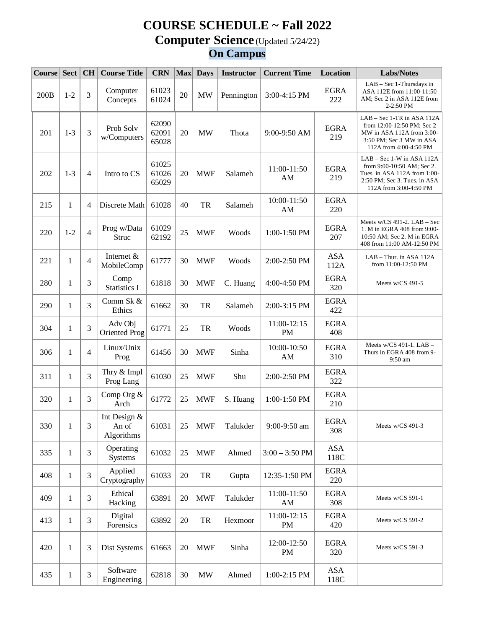## **COURSE SCHEDULE ~ Fall 2022 Computer Science** (Updated 5/24/22) **On Campus**

| $\textbf{Course}$ | Sect         | CH | <b>Course Title</b>                 | <b>CRN</b>              |    | Max Days                        | <b>Instructor</b> | <b>Current Time</b>      | <b>Location</b>    | <b>Labs/Notes</b>                                                                                                                                       |
|-------------------|--------------|----|-------------------------------------|-------------------------|----|---------------------------------|-------------------|--------------------------|--------------------|---------------------------------------------------------------------------------------------------------------------------------------------------------|
| 200B              | $1 - 2$      | 3  | Computer<br>Concepts                | 61023<br>61024          | 20 | <b>MW</b>                       | Pennington        | 3:00-4:15 PM             | <b>EGRA</b><br>222 | LAB - Sec 1-Thursdays in<br>ASA 112E from 11:00-11:50<br>AM; Sec 2 in ASA 112E from<br>$2-2:50$ PM                                                      |
| 201               | $1 - 3$      | 3  | Prob Solv<br>w/Computers            | 62090<br>62091<br>65028 | 20 | <b>MW</b>                       | Thota             | 9:00-9:50 AM             | <b>EGRA</b><br>219 | LAB – Sec 1-TR in ASA 112A<br>from 12:00-12:50 PM; Sec 2<br>MW in ASA $112A$ from $3:00-$<br>3:50 PM; Sec 3 MW in ASA<br>112A from 4:00-4:50 PM         |
| 202               | $1-3$        | 4  | Intro to CS                         | 61025<br>61026<br>65029 | 20 | <b>MWF</b>                      | Salameh           | 11:00-11:50<br>AM        | <b>EGRA</b><br>219 | $LAB - Sec 1-W$ in ASA 112A<br>from $9:00-10:50$ AM; Sec 2.<br>Tues. in ASA 112A from 1:00-<br>$2:50$ PM; Sec 3. Tues. in ASA<br>112A from 3:00-4:50 PM |
| 215               | 1            | 4  | Discrete Math                       | 61028                   | 40 | TR                              | Salameh           | 10:00-11:50<br>AM        | <b>EGRA</b><br>220 |                                                                                                                                                         |
| 220               | $1 - 2$      | 4  | Prog w/Data<br>Struc                | 61029<br>62192          | 25 | <b>MWF</b>                      | Woods             | 1:00-1:50 PM             | <b>EGRA</b><br>207 | Meets $w/CS$ 491-2. LAB – Sec<br>1. M in EGRA 408 from 9:00-<br>10:50 AM; Sec 2. M in EGRA<br>408 from 11:00 AM-12:50 PM                                |
| 221               | 1            | 4  | Internet &<br>MobileComp            | 61777                   | 30 | <b>MWF</b>                      | Woods             | 2:00-2:50 PM             | <b>ASA</b><br>112A | LAB - Thur. in ASA 112A<br>from 11:00-12:50 PM                                                                                                          |
| 280               | 1            | 3  | Comp<br><b>Statistics I</b>         | 61818                   | 30 | <b>MWF</b>                      | C. Huang          | 4:00-4:50 PM             | <b>EGRA</b><br>320 | Meets w/CS 491-5                                                                                                                                        |
| 290               | $\mathbf{1}$ | 3  | Comm Sk &<br>Ethics                 | 61662                   | 30 | TR                              | Salameh           | 2:00-3:15 PM             | <b>EGRA</b><br>422 |                                                                                                                                                         |
| 304               | $\mathbf{1}$ | 3  | Adv Obj<br>Oriented Prog            | 61771                   | 25 | TR                              | Woods             | 11:00-12:15<br><b>PM</b> | <b>EGRA</b><br>408 |                                                                                                                                                         |
| 306               | $\mathbf{1}$ | 4  | Linux/Unix<br>Prog                  | 61456                   | 30 | <b>MWF</b>                      | Sinha             | 10:00-10:50<br>AM        | <b>EGRA</b><br>310 | Meets w/CS 491-1. LAB -<br>Thurs in EGRA 408 from 9-<br>9:50 am                                                                                         |
| 311               | $\mathbf{1}$ | 3  | Thry & Impl<br>Prog Lang            | 61030                   | 25 | <b>MWF</b>                      | Shu               | 2:00-2:50 PM             | <b>EGRA</b><br>322 |                                                                                                                                                         |
| 320               | 1            | 3  | Comp Org &<br>Arch                  | 61772                   | 25 | <b>MWF</b>                      | S. Huang          | 1:00-1:50 PM             | <b>EGRA</b><br>210 |                                                                                                                                                         |
| 330               | 1            | 3  | Int Design &<br>An of<br>Algorithms | 61031                   | 25 | <b>MWF</b>                      | Talukder          | $9:00-9:50$ am           | <b>EGRA</b><br>308 | Meets $w/CS$ 491-3                                                                                                                                      |
| 335               | $\mathbf{1}$ | 3  | Operating<br><b>Systems</b>         | 61032                   | 25 | <b>MWF</b>                      | Ahmed             | $3:00 - 3:50$ PM         | <b>ASA</b><br>118C |                                                                                                                                                         |
| 408               | 1            | 3  | Applied<br>Cryptography             | 61033                   | 20 | TR                              | Gupta             | 12:35-1:50 PM            | <b>EGRA</b><br>220 |                                                                                                                                                         |
| 409               | 1            | 3  | Ethical<br>Hacking                  | 63891                   | 20 | <b>MWF</b>                      | Talukder          | 11:00-11:50<br>AM        | <b>EGRA</b><br>308 | Meets w/CS 591-1                                                                                                                                        |
| 413               | 1            | 3  | Digital<br>Forensics                | 63892                   | 20 | TR                              | Hexmoor           | 11:00-12:15<br>PM        | <b>EGRA</b><br>420 | Meets w/CS 591-2                                                                                                                                        |
| 420               | 1            | 3  | Dist Systems                        | 61663                   | 20 | <b>MWF</b>                      | Sinha             | 12:00-12:50<br>PM        | <b>EGRA</b><br>320 | Meets w/CS 591-3                                                                                                                                        |
| 435               | 1            | 3  | Software<br>Engineering             | 62818                   | 30 | $\ensuremath{\text{MW}}\xspace$ | Ahmed             | 1:00-2:15 PM             | <b>ASA</b><br>118C |                                                                                                                                                         |